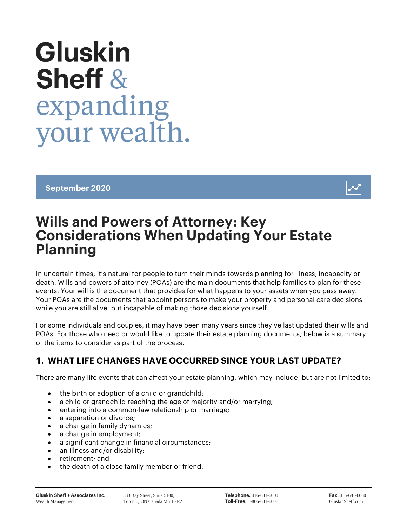# **Gluskin Sheff &** expanding your wealth.

September 2020



# Wills and Powers of Attorney: Key Considerations When Updating Your Estate Planning

In uncertain times, it's natural for people to turn their minds towards planning for illness, incapacity or death. Wills and powers of attorney (POAs) are the main documents that help families to plan for these events. Your will is the document that provides for what happens to your assets when you pass away. Your POAs are the documents that appoint persons to make your property and personal care decisions while you are still alive, but incapable of making those decisions yourself.

For some individuals and couples, it may have been many years since they've last updated their wills and POAs. For those who need or would like to update their estate planning documents, below is a summary of the items to consider as part of the process.

# 1. WHAT LIFE CHANGES HAVE OCCURRED SINCE YOUR LAST UPDATE?

There are many life events that can affect your estate planning, which may include, but are not limited to:

- the birth or adoption of a child or grandchild;
- a child or grandchild reaching the age of majority and/or marrying;
- **e** entering into a common-law relationship or marriage;
- a separation or divorce:
- a change in family dynamics;
- a change in employment;
- a significant change in financial circumstances;
- an illness and/or disability;
- retirement: and
- the death of a close family member or friend.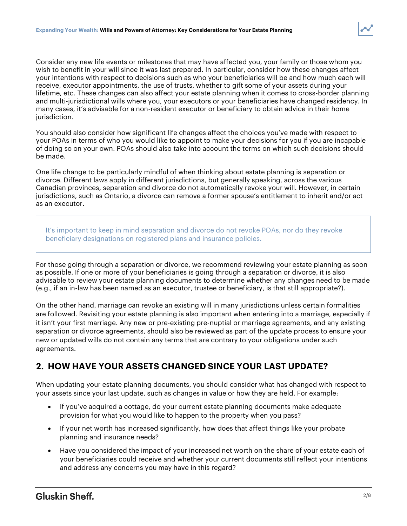Consider any new life events or milestones that may have affected you, your family or those whom you wish to benefit in your will since it was last prepared. In particular, consider how these changes affect your intentions with respect to decisions such as who your beneficiaries will be and how much each will receive, executor appointments, the use of trusts, whether to gift some of your assets during your lifetime, etc. These changes can also affect your estate planning when it comes to cross-border planning and multi-jurisdictional wills where you, your executors or your beneficiaries have changed residency. In many cases, it's advisable for a non-resident executor or beneficiary to obtain advice in their home jurisdiction.

You should also consider how significant life changes affect the choices you've made with respect to your POAs in terms of who you would like to appoint to make your decisions for you if you are incapable of doing so on your own. POAs should also take into account the terms on which such decisions should be made.

One life change to be particularly mindful of when thinking about estate planning is separation or divorce. Different laws apply in different jurisdictions, but generally speaking, across the various Canadian provinces, separation and divorce do not automatically revoke your will. However, in certain jurisdictions, such as Ontario, a divorce can remove a former spouse's entitlement to inherit and/or act as an executor.

It's important to keep in mind separation and divorce do not revoke POAs, nor do they revoke beneficiary designations on registered plans and insurance policies.

For those going through a separation or divorce, we recommend reviewing your estate planning as soon as possible. If one or more of your beneficiaries is going through a separation or divorce, it is also advisable to review your estate planning documents to determine whether any changes need to be made (e.g., if an in-law has been named as an executor, trustee or beneficiary, is that still appropriate?).

On the other hand, marriage can revoke an existing will in many jurisdictions unless certain formalities are followed. Revisiting your estate planning is also important when entering into a marriage, especially if it isn't your first marriage. Any new or pre-existing pre-nuptial or marriage agreements, and any existing separation or divorce agreements, should also be reviewed as part of the update process to ensure your new or updated wills do not contain any terms that are contrary to your obligations under such agreements.

# 2. HOW HAVE YOUR ASSETS CHANGED SINCE YOUR LAST UPDATE?

When updating your estate planning documents, you should consider what has changed with respect to your assets since your last update, such as changes in value or how they are held. For example:

- If you've acquired a cottage, do your current estate planning documents make adequate provision for what you would like to happen to the property when you pass?
- If your net worth has increased significantly, how does that affect things like your probate planning and insurance needs?
- Have you considered the impact of your increased net worth on the share of your estate each of your beneficiaries could receive and whether your current documents still reflect your intentions and address any concerns you may have in this regard?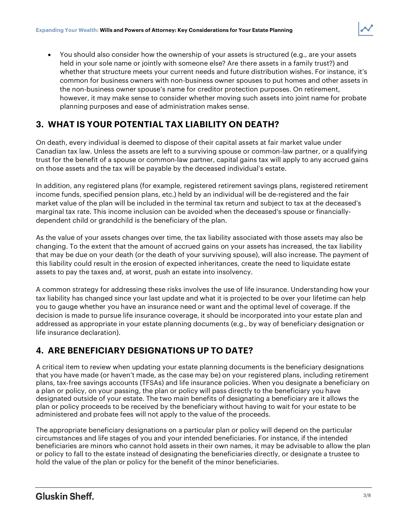You should also consider how the ownership of your assets is structured (e.g., are your assets held in your sole name or jointly with someone else? Are there assets in a family trust?) and whether that structure meets your current needs and future distribution wishes. For instance, it's common for business owners with non-business owner spouses to put homes and other assets in the non-business owner spouse's name for creditor protection purposes. On retirement, however, it may make sense to consider whether moving such assets into joint name for probate planning purposes and ease of administration makes sense.

# 3. WHAT IS YOUR POTENTIAL TAX LIABILITY ON DEATH?

On death, every individual is deemed to dispose of their capital assets at fair market value under Canadian tax law. Unless the assets are left to a surviving spouse or common-law partner, or a qualifying trust for the benefit of a spouse or common-law partner, capital gains tax will apply to any accrued gains on those assets and the tax will be payable by the deceased individual's estate.

In addition, any registered plans (for example, registered retirement savings plans, registered retirement income funds, specified pension plans, etc.) held by an individual will be de-registered and the fair market value of the plan will be included in the terminal tax return and subject to tax at the deceased's marginal tax rate. This income inclusion can be avoided when the deceased's spouse or financiallydependent child or grandchild is the beneficiary of the plan.

As the value of your assets changes over time, the tax liability associated with those assets may also be changing. To the extent that the amount of accrued gains on your assets has increased, the tax liability that may be due on your death (or the death of your surviving spouse), will also increase. The payment of this liability could result in the erosion of expected inheritances, create the need to liquidate estate assets to pay the taxes and, at worst, push an estate into insolvency.

A common strategy for addressing these risks involves the use of life insurance. Understanding how your tax liability has changed since your last update and what it is projected to be over your lifetime can help you to gauge whether you have an insurance need or want and the optimal level of coverage. If the decision is made to pursue life insurance coverage, it should be incorporated into your estate plan and addressed as appropriate in your estate planning documents (e.g., by way of beneficiary designation or life insurance declaration).

# 4. ARE BENEFICIARY DESIGNATIONS UP TO DATE?

A critical item to review when updating your estate planning documents is the beneficiary designations that you have made (or haven't made, as the case may be) on your registered plans, including retirement plans, tax-free savings accounts (TFSAs) and life insurance policies. When you designate a beneficiary on a plan or policy, on your passing, the plan or policy will pass directly to the beneficiary you have designated outside of your estate. The two main benefits of designating a beneficiary are it allows the plan or policy proceeds to be received by the beneficiary without having to wait for your estate to be administered and probate fees will not apply to the value of the proceeds.

The appropriate beneficiary designations on a particular plan or policy will depend on the particular circumstances and life stages of you and your intended beneficiaries. For instance, if the intended beneficiaries are minors who cannot hold assets in their own names, it may be advisable to allow the plan or policy to fall to the estate instead of designating the beneficiaries directly, or designate a trustee to hold the value of the plan or policy for the benefit of the minor beneficiaries.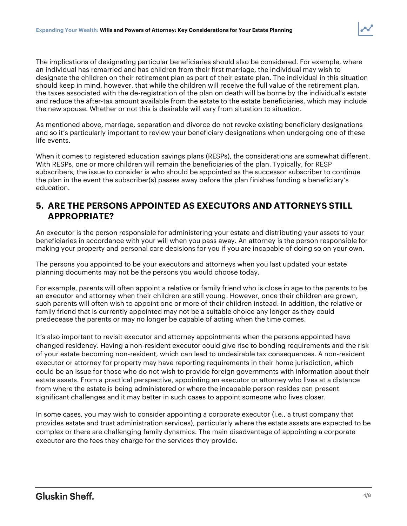The implications of designating particular beneficiaries should also be considered. For example, where an individual has remarried and has children from their first marriage, the individual may wish to designate the children on their retirement plan as part of their estate plan. The individual in this situation should keep in mind, however, that while the children will receive the full value of the retirement plan, the taxes associated with the de-registration of the plan on death will be borne by the individual's estate and reduce the after-tax amount available from the estate to the estate beneficiaries, which may include the new spouse. Whether or not this is desirable will vary from situation to situation.

As mentioned above, marriage, separation and divorce do not revoke existing beneficiary designations and so it's particularly important to review your beneficiary designations when undergoing one of these life events.

When it comes to registered education savings plans (RESPs), the considerations are somewhat different. With RESPs, one or more children will remain the beneficiaries of the plan. Typically, for RESP subscribers, the issue to consider is who should be appointed as the successor subscriber to continue the plan in the event the subscriber(s) passes away before the plan finishes funding a beneficiary's education.

# 5. ARE THE PERSONS APPOINTED AS EXECUTORS AND ATTORNEYS STILL APPROPRIATE?

An executor is the person responsible for administering your estate and distributing your assets to your beneficiaries in accordance with your will when you pass away. An attorney is the person responsible for making your property and personal care decisions for you if you are incapable of doing so on your own.

The persons you appointed to be your executors and attorneys when you last updated your estate planning documents may not be the persons you would choose today.

For example, parents will often appoint a relative or family friend who is close in age to the parents to be an executor and attorney when their children are still young. However, once their children are grown, such parents will often wish to appoint one or more of their children instead. In addition, the relative or family friend that is currently appointed may not be a suitable choice any longer as they could predecease the parents or may no longer be capable of acting when the time comes.

It's also important to revisit executor and attorney appointments when the persons appointed have changed residency. Having a non-resident executor could give rise to bonding requirements and the risk of your estate becoming non-resident, which can lead to undesirable tax consequences. A non-resident executor or attorney for property may have reporting requirements in their home jurisdiction, which could be an issue for those who do not wish to provide foreign governments with information about their estate assets. From a practical perspective, appointing an executor or attorney who lives at a distance from where the estate is being administered or where the incapable person resides can present significant challenges and it may better in such cases to appoint someone who lives closer.

In some cases, you may wish to consider appointing a corporate executor (i.e., a trust company that provides estate and trust administration services), particularly where the estate assets are expected to be complex or there are challenging family dynamics. The main disadvantage of appointing a corporate executor are the fees they charge for the services they provide.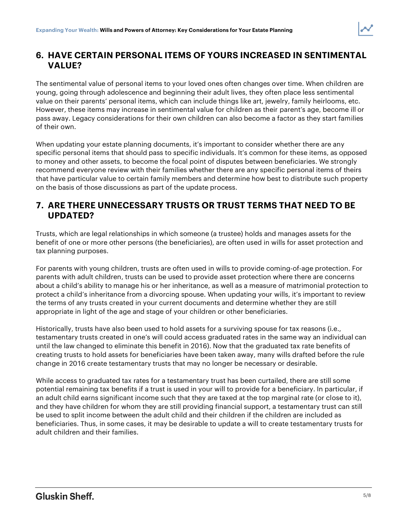# 6. HAVE CERTAIN PERSONAL ITEMS OF YOURS INCREASED IN SENTIMENTAL VALUE?

The sentimental value of personal items to your loved ones often changes over time. When children are young, going through adolescence and beginning their adult lives, they often place less sentimental value on their parents' personal items, which can include things like art, jewelry, family heirlooms, etc. However, these items may increase in sentimental value for children as their parent's age, become ill or pass away. Legacy considerations for their own children can also become a factor as they start families of their own.

When updating your estate planning documents, it's important to consider whether there are any specific personal items that should pass to specific individuals. It's common for these items, as opposed to money and other assets, to become the focal point of disputes between beneficiaries. We strongly recommend everyone review with their families whether there are any specific personal items of theirs that have particular value to certain family members and determine how best to distribute such property on the basis of those discussions as part of the update process.

# 7. ARE THERE UNNECESSARY TRUSTS OR TRUST TERMS THAT NEED TO BE UPDATED?

Trusts, which are legal relationships in which someone (a trustee) holds and manages assets for the benefit of one or more other persons (the beneficiaries), are often used in wills for asset protection and tax planning purposes.

For parents with young children, trusts are often used in wills to provide coming-of-age protection. For parents with adult children, trusts can be used to provide asset protection where there are concerns about a child's ability to manage his or her inheritance, as well as a measure of matrimonial protection to protect a child's inheritance from a divorcing spouse. When updating your wills, it's important to review the terms of any trusts created in your current documents and determine whether they are still appropriate in light of the age and stage of your children or other beneficiaries.

Historically, trusts have also been used to hold assets for a surviving spouse for tax reasons (i.e., testamentary trusts created in one's will could access graduated rates in the same way an individual can until the law changed to eliminate this benefit in 2016). Now that the graduated tax rate benefits of creating trusts to hold assets for beneficiaries have been taken away, many wills drafted before the rule change in 2016 create testamentary trusts that may no longer be necessary or desirable.

While access to graduated tax rates for a testamentary trust has been curtailed, there are still some potential remaining tax benefits if a trust is used in your will to provide for a beneficiary. In particular, if an adult child earns significant income such that they are taxed at the top marginal rate (or close to it), and they have children for whom they are still providing financial support, a testamentary trust can still be used to split income between the adult child and their children if the children are included as beneficiaries. Thus, in some cases, it may be desirable to update a will to create testamentary trusts for adult children and their families.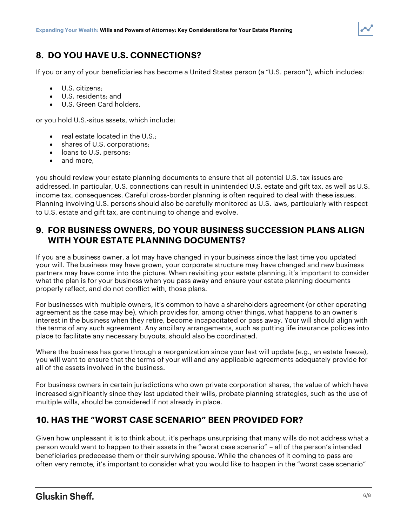# 8. DO YOU HAVE U.S. CONNECTIONS?

If you or any of your beneficiaries has become a United States person (a "U.S. person"), which includes:

- U.S. citizens;
- U.S. residents; and
- U.S. Green Card holders,

or you hold U.S.-situs assets, which include:

- $\bullet$  real estate located in the U.S.;
- shares of U.S. corporations;
- loans to U.S. persons;
- and more,

you should review your estate planning documents to ensure that all potential U.S. tax issues are addressed. In particular, U.S. connections can result in unintended U.S. estate and gift tax, as well as U.S. income tax, consequences. Careful cross-border planning is often required to deal with these issues. Planning involving U.S. persons should also be carefully monitored as U.S. laws, particularly with respect to U.S. estate and gift tax, are continuing to change and evolve.

# 9. FOR BUSINESS OWNERS, DO YOUR BUSINESS SUCCESSION PLANS ALIGN WITH YOUR ESTATE PLANNING DOCUMENTS?

If you are a business owner, a lot may have changed in your business since the last time you updated your will. The business may have grown, your corporate structure may have changed and new business partners may have come into the picture. When revisiting your estate planning, it's important to consider what the plan is for your business when you pass away and ensure your estate planning documents properly reflect, and do not conflict with, those plans.

For businesses with multiple owners, it's common to have a shareholders agreement (or other operating agreement as the case may be), which provides for, among other things, what happens to an owner's interest in the business when they retire, become incapacitated or pass away. Your will should align with the terms of any such agreement. Any ancillary arrangements, such as putting life insurance policies into place to facilitate any necessary buyouts, should also be coordinated.

Where the business has gone through a reorganization since your last will update (e.g., an estate freeze), you will want to ensure that the terms of your will and any applicable agreements adequately provide for all of the assets involved in the business.

For business owners in certain jurisdictions who own private corporation shares, the value of which have increased significantly since they last updated their wills, probate planning strategies, such as the use of multiple wills, should be considered if not already in place.

# 10. HAS THE "WORST CASE SCENARIO" BEEN PROVIDED FOR?

Given how unpleasant it is to think about, it's perhaps unsurprising that many wills do not address what a person would want to happen to their assets in the "worst case scenario" – all of the person's intended beneficiaries predecease them or their surviving spouse. While the chances of it coming to pass are often very remote, it's important to consider what you would like to happen in the "worst case scenario"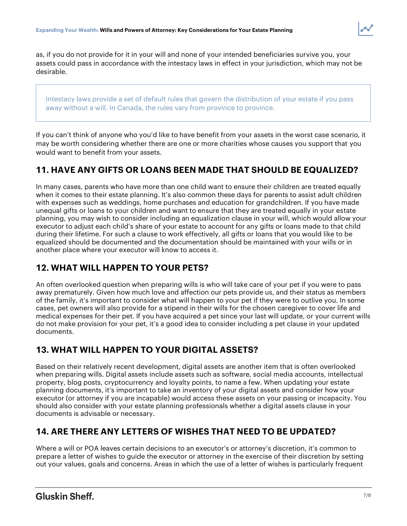as, if you do not provide for it in your will and none of your intended beneficiaries survive you, your assets could pass in accordance with the intestacy laws in effect in your jurisdiction, which may not be desirable.

Intestacy laws provide a set of default rules that govern the distribution of your estate if you pass away without a will. In Canada, the rules vary from province to province.

If you can't think of anyone who you'd like to have benefit from your assets in the worst case scenario, it may be worth considering whether there are one or more charities whose causes you support that you would want to benefit from your assets.

# 11. HAVE ANY GIFTS OR LOANS BEEN MADE THAT SHOULD BE EQUALIZED?

In many cases, parents who have more than one child want to ensure their children are treated equally when it comes to their estate planning. It's also common these days for parents to assist adult children with expenses such as weddings, home purchases and education for grandchildren. If you have made unequal gifts or loans to your children and want to ensure that they are treated equally in your estate planning, you may wish to consider including an equalization clause in your will, which would allow your executor to adjust each child's share of your estate to account for any gifts or loans made to that child during their lifetime. For such a clause to work effectively, all gifts or loans that you would like to be equalized should be documented and the documentation should be maintained with your wills or in another place where your executor will know to access it.

# 12. WHAT WILL HAPPEN TO YOUR PETS?

An often overlooked question when preparing wills is who will take care of your pet if you were to pass away prematurely. Given how much love and affection our pets provide us, and their status as members of the family, it's important to consider what will happen to your pet if they were to outlive you. In some cases, pet owners will also provide for a stipend in their wills for the chosen caregiver to cover life and medical expenses for their pet. If you have acquired a pet since your last will update, or your current wills do not make provision for your pet, it's a good idea to consider including a pet clause in your updated documents.

# 13. WHAT WILL HAPPEN TO YOUR DIGITAL ASSETS?

Based on their relatively recent development, digital assets are another item that is often overlooked when preparing wills. Digital assets include assets such as software, social media accounts, intellectual property, blog posts, cryptocurrency and loyalty points, to name a few. When updating your estate planning documents, it's important to take an inventory of your digital assets and consider how your executor (or attorney if you are incapable) would access these assets on your passing or incapacity. You should also consider with your estate planning professionals whether a digital assets clause in your documents is advisable or necessary.

# 14. ARE THERE ANY LETTERS OF WISHES THAT NEED TO BE UPDATED?

Where a will or POA leaves certain decisions to an executor's or attorney's discretion, it's common to prepare a letter of wishes to guide the executor or attorney in the exercise of their discretion by setting out your values, goals and concerns. Areas in which the use of a letter of wishes is particularly frequent